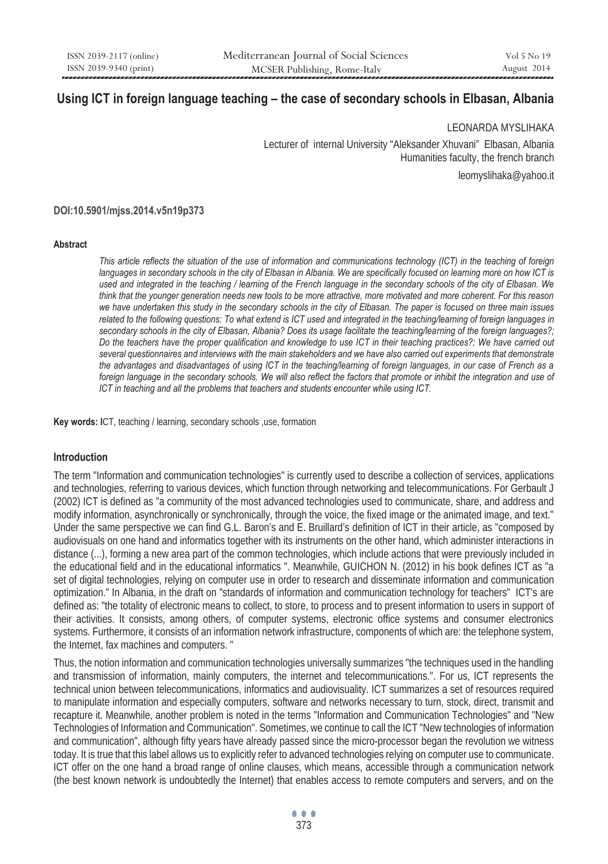# **Using ICT in foreign language teaching – the case of secondary schools in Elbasan, Albania**

LEONARDA MYSLIHAKA

Lecturer of internal University "Aleksander Xhuvani" Elbasan, Albania Humanities faculty, the french branch leomyslihaka@yahoo.it

#### **DOI:10.5901/mjss.2014.v5n19p373**

#### **Abstract**

*This article reflects the situation of the use of information and communications technology (ICT) in the teaching of foreign*  languages in secondary schools in the city of Elbasan in Albania. We are specifically focused on learning more on how ICT is *used and integrated in the teaching / learning of the French language in the secondary schools of the city of Elbasan. We think that the younger generation needs new tools to be more attractive, more motivated and more coherent. For this reason we have undertaken this study in the secondary schools in the city of Elbasan. The paper is focused on three main issues related to the following questions: To what extend is ICT used and integrated in the teaching/learning of foreign languages in secondary schools in the city of Elbasan, Albania? Does its usage facilitate the teaching/learning of the foreign languages?; Do the teachers have the proper qualification and knowledge to use ICT in their teaching practices?; We have carried out several questionnaires and interviews with the main stakeholders and we have also carried out experiments that demonstrate the advantages and disadvantages of using ICT in the teaching/learning of foreign languages, in our case of French as a*  foreign language in the secondary schools. We will also reflect the factors that promote or inhibit the integration and use of *ICT in teaching and all the problems that teachers and students encounter while using ICT.* 

**Key words: I**CT, teaching / learning, secondary schools ,use, formation

#### **Introduction**

The term "Information and communication technologies" is currently used to describe a collection of services, applications and technologies, referring to various devices, which function through networking and telecommunications. For Gerbault J (2002) ICT is defined as "a community of the most advanced technologies used to communicate, share, and address and modify information, asynchronically or synchronically, through the voice, the fixed image or the animated image, and text." Under the same perspective we can find G.L. Baron's and E. Bruillard's definition of ICT in their article, as "composed by audiovisuals on one hand and informatics together with its instruments on the other hand, which administer interactions in distance (...), forming a new area part of the common technologies, which include actions that were previously included in the educational field and in the educational informatics ". Meanwhile, GUICHON N. (2012) in his book defines ICT as "a set of digital technologies, relying on computer use in order to research and disseminate information and communication optimization." In Albania, in the draft on "standards of information and communication technology for teachers" ICT's are defined as: "the totality of electronic means to collect, to store, to process and to present information to users in support of their activities. It consists, among others, of computer systems, electronic office systems and consumer electronics systems. Furthermore, it consists of an information network infrastructure, components of which are: the telephone system, the Internet, fax machines and computers. "

Thus, the notion information and communication technologies universally summarizes "the techniques used in the handling and transmission of information, mainly computers, the internet and telecommunications.". For us, ICT represents the technical union between telecommunications, informatics and audiovisuality. ICT summarizes a set of resources required to manipulate information and especially computers, software and networks necessary to turn, stock, direct, transmit and recapture it. Meanwhile, another problem is noted in the terms "Information and Communication Technologies" and "New Technologies of Information and Communication". Sometimes, we continue to call the ICT "New technologies of information and communication", although fifty years have already passed since the micro-processor began the revolution we witness today. It is true that this label allows us to explicitly refer to advanced technologies relying on computer use to communicate. ICT offer on the one hand a broad range of online clauses, which means, accessible through a communication network (the best known network is undoubtedly the Internet) that enables access to remote computers and servers, and on the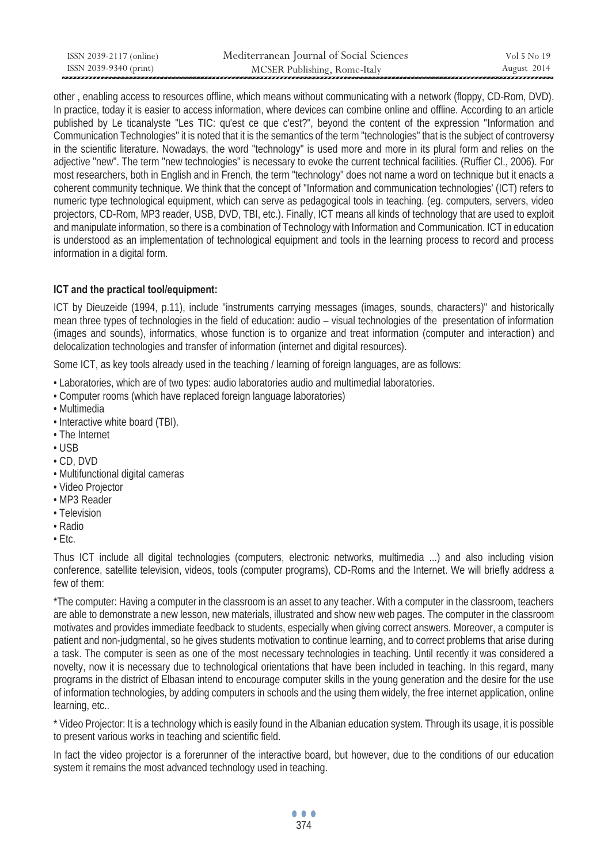| ISSN 2039-2117 (online) | Mediterranean Journal of Social Sciences | Vol 5 No 19 |
|-------------------------|------------------------------------------|-------------|
| ISSN 2039-9340 (print)  | MCSER Publishing, Rome-Italy             | August 2014 |

other , enabling access to resources offline, which means without communicating with a network (floppy, CD-Rom, DVD). In practice, today it is easier to access information, where devices can combine online and offline. According to an article published by Le ticanalyste "Les TIC: qu'est ce que c'est?", beyond the content of the expression "Information and Communication Technologies" it is noted that it is the semantics of the term "technologies" that is the subject of controversy in the scientific literature. Nowadays, the word "technology" is used more and more in its plural form and relies on the adjective "new". The term "new technologies" is necessary to evoke the current technical facilities. (Ruffier Cl., 2006). For most researchers, both in English and in French, the term "technology" does not name a word on technique but it enacts a coherent community technique. We think that the concept of "Information and communication technologies' (ICT) refers to numeric type technological equipment, which can serve as pedagogical tools in teaching. (eg. computers, servers, video projectors, CD-Rom, MP3 reader, USB, DVD, TBI, etc.). Finally, ICT means all kinds of technology that are used to exploit and manipulate information, so there is a combination of Technology with Information and Communication. ICT in education is understood as an implementation of technological equipment and tools in the learning process to record and process information in a digital form.

### **ICT and the practical tool/equipment:**

ICT by Dieuzeide (1994, p.11), include "instruments carrying messages (images, sounds, characters)" and historically mean three types of technologies in the field of education: audio – visual technologies of the presentation of information (images and sounds), informatics, whose function is to organize and treat information (computer and interaction) and delocalization technologies and transfer of information (internet and digital resources).

Some ICT, as key tools already used in the teaching / learning of foreign languages, are as follows:

- Laboratories, which are of two types: audio laboratories audio and multimedial laboratories.
- Computer rooms (which have replaced foreign language laboratories)
- Multimedia
- Interactive white board (TBI).
- The Internet
- $\cdot$ ISB
- CD, DVD
- Multifunctional digital cameras
- Video Projector
- MP3 Reader
- Television
- Radio
- Etc.

Thus ICT include all digital technologies (computers, electronic networks, multimedia ...) and also including vision conference, satellite television, videos, tools (computer programs), CD-Roms and the Internet. We will briefly address a few of them:

\*The computer: Having a computer in the classroom is an asset to any teacher. With a computer in the classroom, teachers are able to demonstrate a new lesson, new materials, illustrated and show new web pages. The computer in the classroom motivates and provides immediate feedback to students, especially when giving correct answers. Moreover, a computer is patient and non-judgmental, so he gives students motivation to continue learning, and to correct problems that arise during a task. The computer is seen as one of the most necessary technologies in teaching. Until recently it was considered a novelty, now it is necessary due to technological orientations that have been included in teaching. In this regard, many programs in the district of Elbasan intend to encourage computer skills in the young generation and the desire for the use of information technologies, by adding computers in schools and the using them widely, the free internet application, online learning, etc..

\* Video Projector: It is a technology which is easily found in the Albanian education system. Through its usage, it is possible to present various works in teaching and scientific field.

In fact the video projector is a forerunner of the interactive board, but however, due to the conditions of our education system it remains the most advanced technology used in teaching.

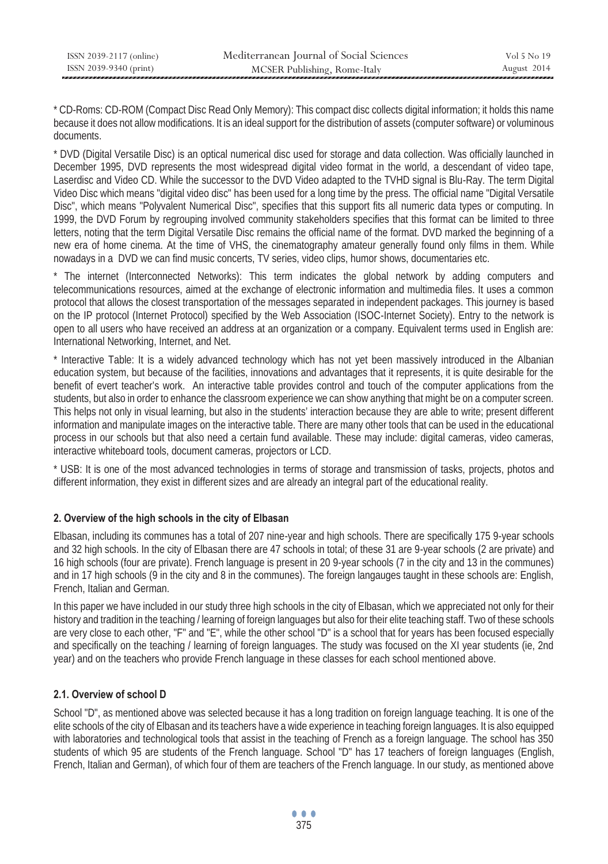\* CD-Roms: CD-ROM (Compact Disc Read Only Memory): This compact disc collects digital information; it holds this name because it does not allow modifications. It is an ideal support for the distribution of assets (computer software) or voluminous documents.

\* DVD (Digital Versatile Disc) is an optical numerical disc used for storage and data collection. Was officially launched in December 1995, DVD represents the most widespread digital video format in the world, a descendant of video tape, Laserdisc and Video CD. While the successor to the DVD Video adapted to the TVHD signal is Blu-Ray. The term Digital Video Disc which means "digital video disc" has been used for a long time by the press. The official name "Digital Versatile Disc", which means "Polyvalent Numerical Disc", specifies that this support fits all numeric data types or computing. In 1999, the DVD Forum by regrouping involved community stakeholders specifies that this format can be limited to three letters, noting that the term Digital Versatile Disc remains the official name of the format. DVD marked the beginning of a new era of home cinema. At the time of VHS, the cinematography amateur generally found only films in them. While nowadays in a DVD we can find music concerts, TV series, video clips, humor shows, documentaries etc.

The internet (Interconnected Networks): This term indicates the global network by adding computers and telecommunications resources, aimed at the exchange of electronic information and multimedia files. It uses a common protocol that allows the closest transportation of the messages separated in independent packages. This journey is based on the IP protocol (Internet Protocol) specified by the Web Association (ISOC-Internet Society). Entry to the network is open to all users who have received an address at an organization or a company. Equivalent terms used in English are: International Networking, Internet, and Net.

\* Interactive Table: It is a widely advanced technology which has not yet been massively introduced in the Albanian education system, but because of the facilities, innovations and advantages that it represents, it is quite desirable for the benefit of evert teacher's work. An interactive table provides control and touch of the computer applications from the students, but also in order to enhance the classroom experience we can show anything that might be on a computer screen. This helps not only in visual learning, but also in the students' interaction because they are able to write; present different information and manipulate images on the interactive table. There are many other tools that can be used in the educational process in our schools but that also need a certain fund available. These may include: digital cameras, video cameras, interactive whiteboard tools, document cameras, projectors or LCD.

\* USB: It is one of the most advanced technologies in terms of storage and transmission of tasks, projects, photos and different information, they exist in different sizes and are already an integral part of the educational reality.

# **2. Overview of the high schools in the city of Elbasan**

Elbasan, including its communes has a total of 207 nine-year and high schools. There are specifically 175 9-year schools and 32 high schools. In the city of Elbasan there are 47 schools in total; of these 31 are 9-year schools (2 are private) and 16 high schools (four are private). French language is present in 20 9-year schools (7 in the city and 13 in the communes) and in 17 high schools (9 in the city and 8 in the communes). The foreign langauges taught in these schools are: English, French, Italian and German.

In this paper we have included in our study three high schools in the city of Elbasan, which we appreciated not only for their history and tradition in the teaching / learning of foreign languages but also for their elite teaching staff. Two of these schools are very close to each other, "F" and "E", while the other school "D" is a school that for years has been focused especially and specifically on the teaching / learning of foreign languages. The study was focused on the XI year students (ie, 2nd year) and on the teachers who provide French language in these classes for each school mentioned above.

# **2.1. Overview of school D**

School "D", as mentioned above was selected because it has a long tradition on foreign language teaching. It is one of the elite schools of the city of Elbasan and its teachers have a wide experience in teaching foreign languages. It is also equipped with laboratories and technological tools that assist in the teaching of French as a foreign language. The school has 350 students of which 95 are students of the French language. School "D" has 17 teachers of foreign languages (English, French, Italian and German), of which four of them are teachers of the French language. In our study, as mentioned above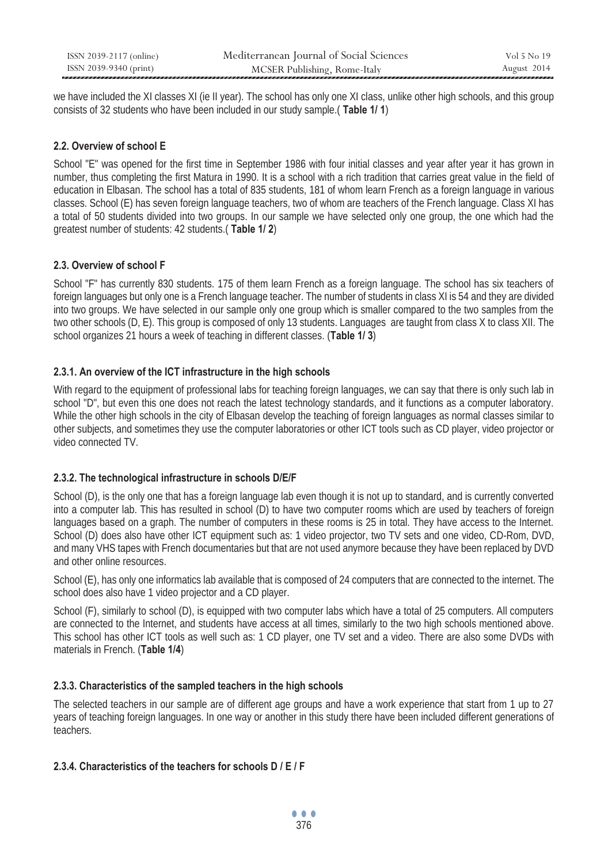| ISSN 2039-2117 (online) | Mediterranean Journal of Social Sciences | Vol 5 No 19 |
|-------------------------|------------------------------------------|-------------|
| ISSN 2039-9340 (print)  | MCSER Publishing, Rome-Italy             | August 2014 |

we have included the XI classes XI (ie II year). The school has only one XI class, unlike other high schools, and this group consists of 32 students who have been included in our study sample.( **Table 1/ 1**)

# **2.2. Overview of school E**

School "E" was opened for the first time in September 1986 with four initial classes and year after year it has grown in number, thus completing the first Matura in 1990. It is a school with a rich tradition that carries great value in the field of education in Elbasan. The school has a total of 835 students, 181 of whom learn French as a foreign language in various classes. School (E) has seven foreign language teachers, two of whom are teachers of the French language. Class XI has a total of 50 students divided into two groups. In our sample we have selected only one group, the one which had the greatest number of students: 42 students.( **Table 1/ 2**)

### **2.3. Overview of school F**

School "F" has currently 830 students. 175 of them learn French as a foreign language. The school has six teachers of foreign languages but only one is a French language teacher. The number of students in class XI is 54 and they are divided into two groups. We have selected in our sample only one group which is smaller compared to the two samples from the two other schools (D, E). This group is composed of only 13 students. Languages are taught from class X to class XII. The school organizes 21 hours a week of teaching in different classes. (**Table 1/ 3**)

### **2.3.1. An overview of the ICT infrastructure in the high schools**

With regard to the equipment of professional labs for teaching foreign languages, we can say that there is only such lab in school "D", but even this one does not reach the latest technology standards, and it functions as a computer laboratory. While the other high schools in the city of Elbasan develop the teaching of foreign languages as normal classes similar to other subjects, and sometimes they use the computer laboratories or other ICT tools such as CD player, video projector or video connected TV.

#### **2.3.2. The technological infrastructure in schools D/E/F**

School (D), is the only one that has a foreign language lab even though it is not up to standard, and is currently converted into a computer lab. This has resulted in school (D) to have two computer rooms which are used by teachers of foreign languages based on a graph. The number of computers in these rooms is 25 in total. They have access to the Internet. School (D) does also have other ICT equipment such as: 1 video projector, two TV sets and one video, CD-Rom, DVD, and many VHS tapes with French documentaries but that are not used anymore because they have been replaced by DVD and other online resources.

School (E), has only one informatics lab available that is composed of 24 computers that are connected to the internet. The school does also have 1 video projector and a CD player.

School (F), similarly to school (D), is equipped with two computer labs which have a total of 25 computers. All computers are connected to the Internet, and students have access at all times, similarly to the two high schools mentioned above. This school has other ICT tools as well such as: 1 CD player, one TV set and a video. There are also some DVDs with materials in French. (**Table 1/4**)

#### **2.3.3. Characteristics of the sampled teachers in the high schools**

The selected teachers in our sample are of different age groups and have a work experience that start from 1 up to 27 years of teaching foreign languages. In one way or another in this study there have been included different generations of teachers.

#### **2.3.4. Characteristics of the teachers for schools D / E / F**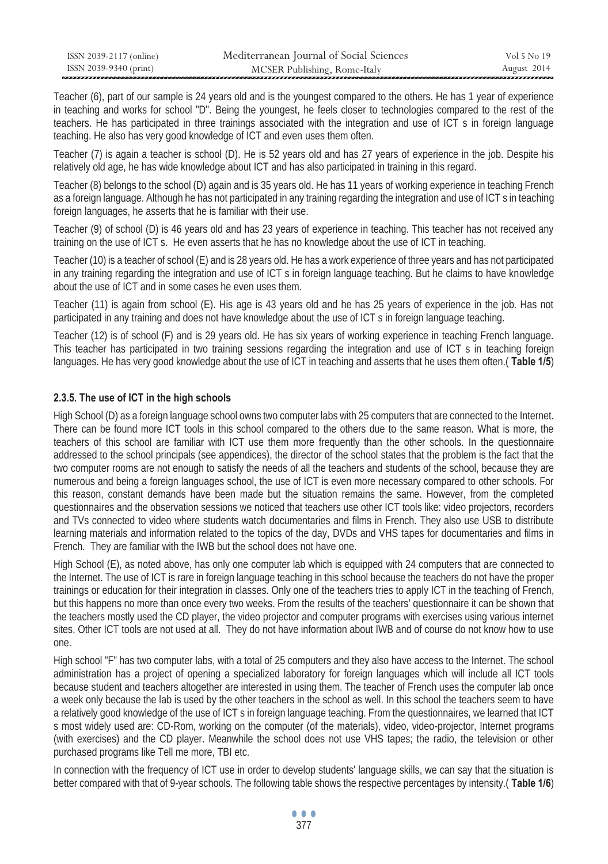| ISSN 2039-2117 (online) | Mediterranean Journal of Social Sciences | Vol 5 No 19 |
|-------------------------|------------------------------------------|-------------|
| ISSN 2039-9340 (print)  | MCSER Publishing, Rome-Italy             | August 2014 |

Teacher (6), part of our sample is 24 years old and is the youngest compared to the others. He has 1 year of experience in teaching and works for school "D". Being the youngest, he feels closer to technologies compared to the rest of the teachers. He has participated in three trainings associated with the integration and use of ICT s in foreign language teaching. He also has very good knowledge of ICT and even uses them often.

Teacher (7) is again a teacher is school (D). He is 52 years old and has 27 years of experience in the job. Despite his relatively old age, he has wide knowledge about ICT and has also participated in training in this regard.

Teacher (8) belongs to the school (D) again and is 35 years old. He has 11 years of working experience in teaching French as a foreign language. Although he has not participated in any training regarding the integration and use of ICT s in teaching foreign languages, he asserts that he is familiar with their use.

Teacher (9) of school (D) is 46 years old and has 23 years of experience in teaching. This teacher has not received any training on the use of ICT s. He even asserts that he has no knowledge about the use of ICT in teaching.

Teacher (10) is a teacher of school (E) and is 28 years old. He has a work experience of three years and has not participated in any training regarding the integration and use of ICT s in foreign language teaching. But he claims to have knowledge about the use of ICT and in some cases he even uses them.

Teacher (11) is again from school (E). His age is 43 years old and he has 25 years of experience in the job. Has not participated in any training and does not have knowledge about the use of ICT s in foreign language teaching.

Teacher (12) is of school (F) and is 29 years old. He has six years of working experience in teaching French language. This teacher has participated in two training sessions regarding the integration and use of ICT s in teaching foreign languages. He has very good knowledge about the use of ICT in teaching and asserts that he uses them often.( **Table 1/5**)

# **2.3.5. The use of ICT in the high schools**

High School (D) as a foreign language school owns two computer labs with 25 computers that are connected to the Internet. There can be found more ICT tools in this school compared to the others due to the same reason. What is more, the teachers of this school are familiar with ICT use them more frequently than the other schools. In the questionnaire addressed to the school principals (see appendices), the director of the school states that the problem is the fact that the two computer rooms are not enough to satisfy the needs of all the teachers and students of the school, because they are numerous and being a foreign languages school, the use of ICT is even more necessary compared to other schools. For this reason, constant demands have been made but the situation remains the same. However, from the completed questionnaires and the observation sessions we noticed that teachers use other ICT tools like: video projectors, recorders and TVs connected to video where students watch documentaries and films in French. They also use USB to distribute learning materials and information related to the topics of the day, DVDs and VHS tapes for documentaries and films in French. They are familiar with the IWB but the school does not have one.

High School (E), as noted above, has only one computer lab which is equipped with 24 computers that are connected to the Internet. The use of ICT is rare in foreign language teaching in this school because the teachers do not have the proper trainings or education for their integration in classes. Only one of the teachers tries to apply ICT in the teaching of French, but this happens no more than once every two weeks. From the results of the teachers' questionnaire it can be shown that the teachers mostly used the CD player, the video projector and computer programs with exercises using various internet sites. Other ICT tools are not used at all. They do not have information about IWB and of course do not know how to use one.

High school "F" has two computer labs, with a total of 25 computers and they also have access to the Internet. The school administration has a project of opening a specialized laboratory for foreign languages which will include all ICT tools because student and teachers altogether are interested in using them. The teacher of French uses the computer lab once a week only because the lab is used by the other teachers in the school as well. In this school the teachers seem to have a relatively good knowledge of the use of ICT s in foreign language teaching. From the questionnaires, we learned that ICT s most widely used are: CD-Rom, working on the computer (of the materials), video, video-projector, Internet programs (with exercises) and the CD player. Meanwhile the school does not use VHS tapes; the radio, the television or other purchased programs like Tell me more, TBI etc.

In connection with the frequency of ICT use in order to develop students' language skills, we can say that the situation is better compared with that of 9-year schools. The following table shows the respective percentages by intensity.( **Table 1/6**)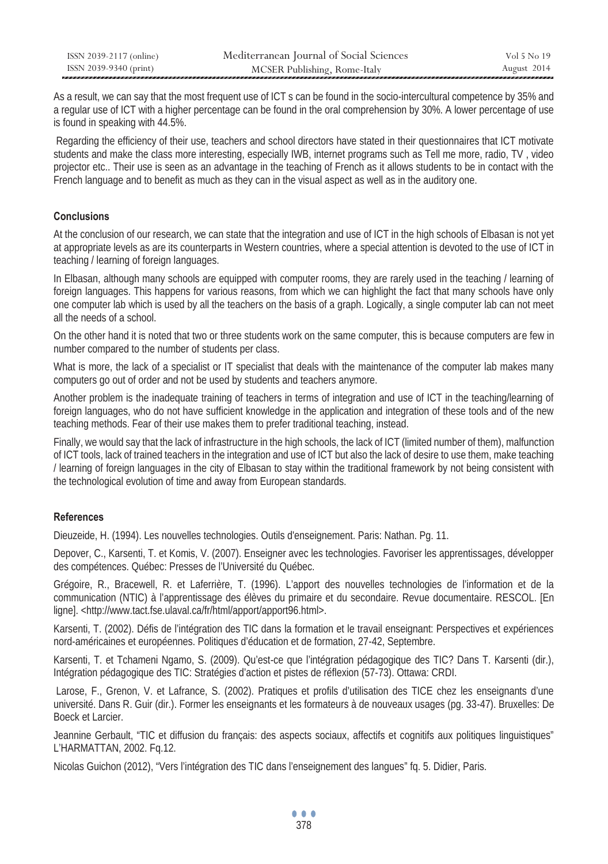| ISSN 2039-2117 (online) | Mediterranean Journal of Social Sciences | Vol 5 No 19 |
|-------------------------|------------------------------------------|-------------|
| ISSN 2039-9340 (print)  | MCSER Publishing, Rome-Italy             | August 2014 |

As a result, we can say that the most frequent use of ICT s can be found in the socio-intercultural competence by 35% and a regular use of ICT with a higher percentage can be found in the oral comprehension by 30%. A lower percentage of use is found in speaking with 44.5%.

 Regarding the efficiency of their use, teachers and school directors have stated in their questionnaires that ICT motivate students and make the class more interesting, especially IWB, internet programs such as Tell me more, radio, TV , video projector etc.. Their use is seen as an advantage in the teaching of French as it allows students to be in contact with the French language and to benefit as much as they can in the visual aspect as well as in the auditory one.

#### **Conclusions**

At the conclusion of our research, we can state that the integration and use of ICT in the high schools of Elbasan is not yet at appropriate levels as are its counterparts in Western countries, where a special attention is devoted to the use of ICT in teaching / learning of foreign languages.

In Elbasan, although many schools are equipped with computer rooms, they are rarely used in the teaching / learning of foreign languages. This happens for various reasons, from which we can highlight the fact that many schools have only one computer lab which is used by all the teachers on the basis of a graph. Logically, a single computer lab can not meet all the needs of a school.

On the other hand it is noted that two or three students work on the same computer, this is because computers are few in number compared to the number of students per class.

What is more, the lack of a specialist or IT specialist that deals with the maintenance of the computer lab makes many computers go out of order and not be used by students and teachers anymore.

Another problem is the inadequate training of teachers in terms of integration and use of ICT in the teaching/learning of foreign languages, who do not have sufficient knowledge in the application and integration of these tools and of the new teaching methods. Fear of their use makes them to prefer traditional teaching, instead.

Finally, we would say that the lack of infrastructure in the high schools, the lack of ICT (limited number of them), malfunction of ICT tools, lack of trained teachers in the integration and use of ICT but also the lack of desire to use them, make teaching / learning of foreign languages in the city of Elbasan to stay within the traditional framework by not being consistent with the technological evolution of time and away from European standards.

# **References**

Dieuzeide, H. (1994). Les nouvelles technologies. Outils d'enseignement. Paris: Nathan. Pg. 11.

Depover, C., Karsenti, T. et Komis, V. (2007). Enseigner avec les technologies. Favoriser les apprentissages, développer des compétences. Québec: Presses de l'Université du Québec.

Grégoire, R., Bracewell, R. et Laferrière, T. (1996). L'apport des nouvelles technologies de l'information et de la communication (NTIC) à l'apprentissage des élèves du primaire et du secondaire. Revue documentaire. RESCOL. [En ligne]. <http://www.tact.fse.ulaval.ca/fr/html/apport/apport96.html>.

Karsenti, T. (2002). Défis de l'intégration des TIC dans la formation et le travail enseignant: Perspectives et expériences nord-américaines et européennes. Politiques d'éducation et de formation, 27-42, Septembre.

Karsenti, T. et Tchameni Ngamo, S. (2009). Qu'est-ce que l'intégration pédagogique des TIC? Dans T. Karsenti (dir.), Intégration pédagogique des TIC: Stratégies d'action et pistes de réflexion (57-73). Ottawa: CRDI.

 Larose, F., Grenon, V. et Lafrance, S. (2002). Pratiques et profils d'utilisation des TICE chez les enseignants d'une université. Dans R. Guir (dir.). Former les enseignants et les formateurs à de nouveaux usages (pg. 33-47). Bruxelles: De Boeck et Larcier.

Jeannine Gerbault, "TIC et diffusion du français: des aspects sociaux, affectifs et cognitifs aux politiques linguistiques" L'HARMATTAN, 2002. Fq.12.

Nicolas Guichon (2012), "Vers l'intégration des TIC dans l'enseignement des langues" fq. 5. Didier, Paris.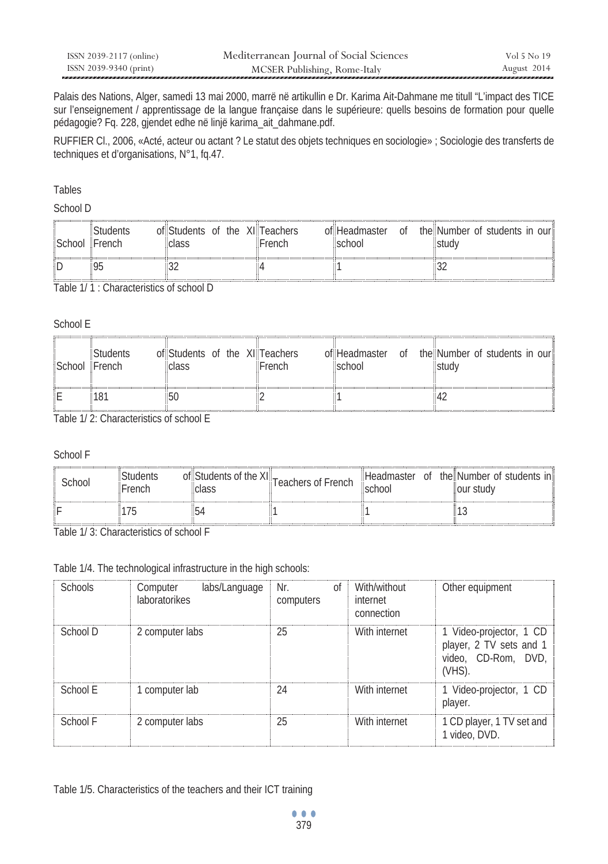| ISSN 2039-2117 (online) | Mediterranean Journal of Social Sciences | Vol 5 No 19 |
|-------------------------|------------------------------------------|-------------|
| ISSN 2039-9340 (print)  | MCSER Publishing, Rome-Italy             | August 2014 |

Palais des Nations, Alger, samedi 13 mai 2000, marrë në artikullin e Dr. Karima Ait-Dahmane me titull "L'impact des TICE sur l'enseignement / apprentissage de la langue française dans le supérieure: quells besoins de formation pour quelle pédagogie? Fq. 228, gjendet edhe në linjë karima\_ait\_dahmane.pdf.

RUFFIER Cl., 2006, «Acté, acteur ou actant ? Le statut des objets techniques en sociologie» ; Sociologie des transferts de techniques et d'organisations, N°1, fq.47.

Tables

School D

|  | of the<br>¥ I ∷ |  | 0t | the Number of students | our: |
|--|-----------------|--|----|------------------------|------|
|  |                 |  |    |                        |      |

Table 1/ 1 : Characteristics of school D

School E

| School French | Students of the XI Teachers |  | of Headmaster of the Number of students in our |
|---------------|-----------------------------|--|------------------------------------------------|
|               |                             |  |                                                |

Table 1/ 2: Characteristics of school E

# School F

|  | French | 0t |  |
|--|--------|----|--|
|  |        |    |  |

Table 1/ 3: Characteristics of school F

# Table 1/4. The technological infrastructure in the high schools:

| <b>Schools</b> | Computer<br>labs/Language<br>laboratorikes | Nr.<br>0f<br>computers | With/without<br>internet<br>connection | Other equipment                                                                     |
|----------------|--------------------------------------------|------------------------|----------------------------------------|-------------------------------------------------------------------------------------|
| School D       | 2 computer labs                            | 25                     | With internet                          | 1 Video-projector, 1 CD<br>player, 2 TV sets and 1<br>video, CD-Rom, DVD,<br>(VHS). |
| School F       | 1 computer lab                             | 24                     | With internet                          | 1 Video-projector, 1 CD<br>player.                                                  |
| School F       | 2 computer labs                            | 25                     | With internet                          | 1 CD player, 1 TV set and<br>1 video, DVD.                                          |

Table 1/5. Characteristics of the teachers and their ICT training